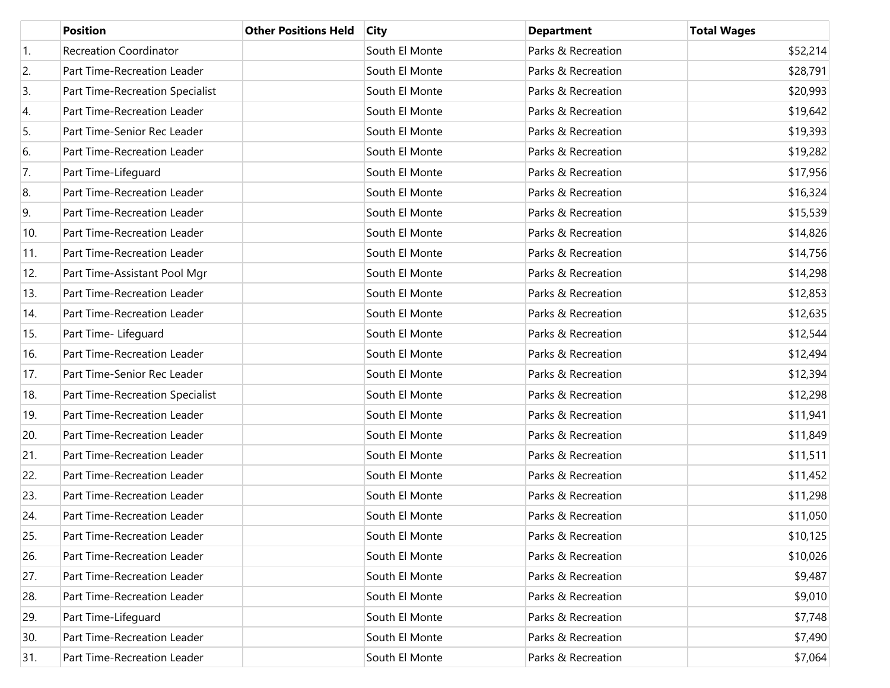|     | <b>Position</b>                 | <b>Other Positions Held</b> | <b>City</b>    | <b>Department</b>  | <b>Total Wages</b> |
|-----|---------------------------------|-----------------------------|----------------|--------------------|--------------------|
| 1.  | <b>Recreation Coordinator</b>   |                             | South El Monte | Parks & Recreation | \$52,214           |
| 2.  | Part Time-Recreation Leader     |                             | South El Monte | Parks & Recreation | \$28,791           |
| 3.  | Part Time-Recreation Specialist |                             | South El Monte | Parks & Recreation | \$20,993           |
| 4.  | Part Time-Recreation Leader     |                             | South El Monte | Parks & Recreation | \$19,642           |
| 5.  | Part Time-Senior Rec Leader     |                             | South El Monte | Parks & Recreation | \$19,393           |
| 6.  | Part Time-Recreation Leader     |                             | South El Monte | Parks & Recreation | \$19,282           |
| 7.  | Part Time-Lifeguard             |                             | South El Monte | Parks & Recreation | \$17,956           |
| 8.  | Part Time-Recreation Leader     |                             | South El Monte | Parks & Recreation | \$16,324           |
| 9.  | Part Time-Recreation Leader     |                             | South El Monte | Parks & Recreation | \$15,539           |
| 10. | Part Time-Recreation Leader     |                             | South El Monte | Parks & Recreation | \$14,826           |
| 11. | Part Time-Recreation Leader     |                             | South El Monte | Parks & Recreation | \$14,756           |
| 12. | Part Time-Assistant Pool Mgr    |                             | South El Monte | Parks & Recreation | \$14,298           |
| 13. | Part Time-Recreation Leader     |                             | South El Monte | Parks & Recreation | \$12,853           |
| 14. | Part Time-Recreation Leader     |                             | South El Monte | Parks & Recreation | \$12,635           |
| 15. | Part Time- Lifeguard            |                             | South El Monte | Parks & Recreation | \$12,544           |
| 16. | Part Time-Recreation Leader     |                             | South El Monte | Parks & Recreation | \$12,494           |
| 17. | Part Time-Senior Rec Leader     |                             | South El Monte | Parks & Recreation | \$12,394           |
| 18. | Part Time-Recreation Specialist |                             | South El Monte | Parks & Recreation | \$12,298           |
| 19. | Part Time-Recreation Leader     |                             | South El Monte | Parks & Recreation | \$11,941           |
| 20. | Part Time-Recreation Leader     |                             | South El Monte | Parks & Recreation | \$11,849           |
| 21. | Part Time-Recreation Leader     |                             | South El Monte | Parks & Recreation | \$11,511           |
| 22. | Part Time-Recreation Leader     |                             | South El Monte | Parks & Recreation | \$11,452           |
| 23. | Part Time-Recreation Leader     |                             | South El Monte | Parks & Recreation | \$11,298           |
| 24. | Part Time-Recreation Leader     |                             | South El Monte | Parks & Recreation | \$11,050           |
| 25. | Part Time-Recreation Leader     |                             | South El Monte | Parks & Recreation | \$10,125           |
| 26. | Part Time-Recreation Leader     |                             | South El Monte | Parks & Recreation | \$10,026           |
| 27. | Part Time-Recreation Leader     |                             | South El Monte | Parks & Recreation | \$9,487            |
| 28. | Part Time-Recreation Leader     |                             | South El Monte | Parks & Recreation | \$9,010            |
| 29. | Part Time-Lifequard             |                             | South El Monte | Parks & Recreation | \$7,748            |
| 30. | Part Time-Recreation Leader     |                             | South El Monte | Parks & Recreation | \$7,490            |
| 31. | Part Time-Recreation Leader     |                             | South El Monte | Parks & Recreation | \$7,064            |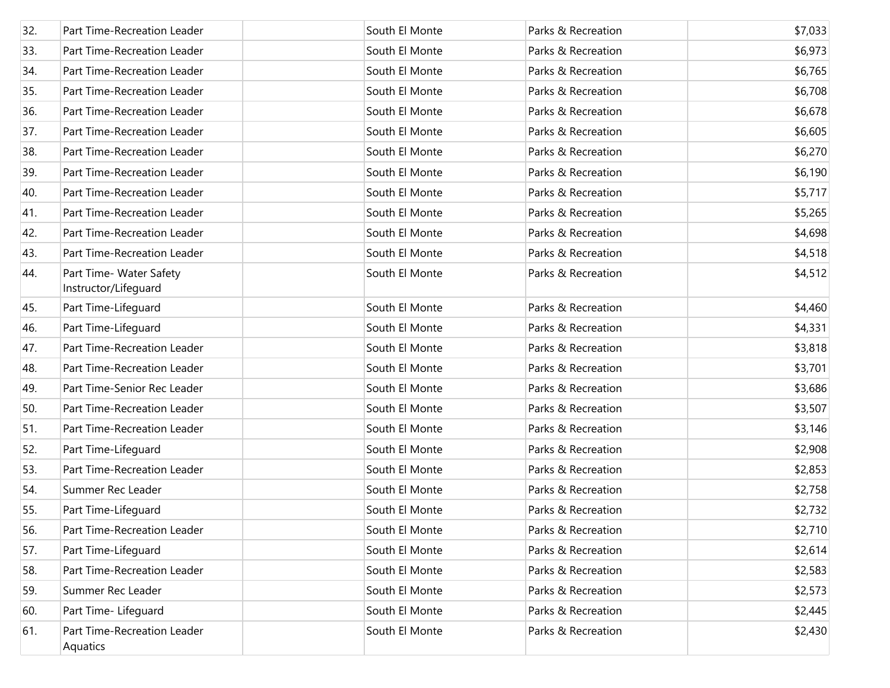| 32. | Part Time-Recreation Leader                     | South El Monte | Parks & Recreation | \$7,033 |
|-----|-------------------------------------------------|----------------|--------------------|---------|
| 33. | Part Time-Recreation Leader                     | South El Monte | Parks & Recreation | \$6,973 |
| 34. | Part Time-Recreation Leader                     | South El Monte | Parks & Recreation | \$6,765 |
| 35. | Part Time-Recreation Leader                     | South El Monte | Parks & Recreation | \$6,708 |
| 36. | Part Time-Recreation Leader                     | South El Monte | Parks & Recreation | \$6,678 |
| 37. | Part Time-Recreation Leader                     | South El Monte | Parks & Recreation | \$6,605 |
| 38. | Part Time-Recreation Leader                     | South El Monte | Parks & Recreation | \$6,270 |
| 39. | Part Time-Recreation Leader                     | South El Monte | Parks & Recreation | \$6,190 |
| 40. | Part Time-Recreation Leader                     | South El Monte | Parks & Recreation | \$5,717 |
| 41. | Part Time-Recreation Leader                     | South El Monte | Parks & Recreation | \$5,265 |
| 42. | Part Time-Recreation Leader                     | South El Monte | Parks & Recreation | \$4,698 |
| 43. | Part Time-Recreation Leader                     | South El Monte | Parks & Recreation | \$4,518 |
| 44. | Part Time- Water Safety<br>Instructor/Lifeguard | South El Monte | Parks & Recreation | \$4,512 |
| 45. | Part Time-Lifeguard                             | South El Monte | Parks & Recreation | \$4,460 |
| 46. | Part Time-Lifeguard                             | South El Monte | Parks & Recreation | \$4,331 |
| 47. | Part Time-Recreation Leader                     | South El Monte | Parks & Recreation | \$3,818 |
| 48. | Part Time-Recreation Leader                     | South El Monte | Parks & Recreation | \$3,701 |
| 49. | Part Time-Senior Rec Leader                     | South El Monte | Parks & Recreation | \$3,686 |
| 50. | Part Time-Recreation Leader                     | South El Monte | Parks & Recreation | \$3,507 |
| 51. | Part Time-Recreation Leader                     | South El Monte | Parks & Recreation | \$3,146 |
| 52. | Part Time-Lifeguard                             | South El Monte | Parks & Recreation | \$2,908 |
| 53. | Part Time-Recreation Leader                     | South El Monte | Parks & Recreation | \$2,853 |
| 54. | Summer Rec Leader                               | South El Monte | Parks & Recreation | \$2,758 |
| 55. | Part Time-Lifeguard                             | South El Monte | Parks & Recreation | \$2,732 |
| 56. | Part Time-Recreation Leader                     | South El Monte | Parks & Recreation | \$2,710 |
| 57. | Part Time-Lifeguard                             | South El Monte | Parks & Recreation | \$2,614 |
| 58. | Part Time-Recreation Leader                     | South El Monte | Parks & Recreation | \$2,583 |
| 59. | Summer Rec Leader                               | South El Monte | Parks & Recreation | \$2,573 |
| 60. | Part Time- Lifeguard                            | South El Monte | Parks & Recreation | \$2,445 |
| 61. | Part Time-Recreation Leader<br>Aquatics         | South El Monte | Parks & Recreation | \$2,430 |